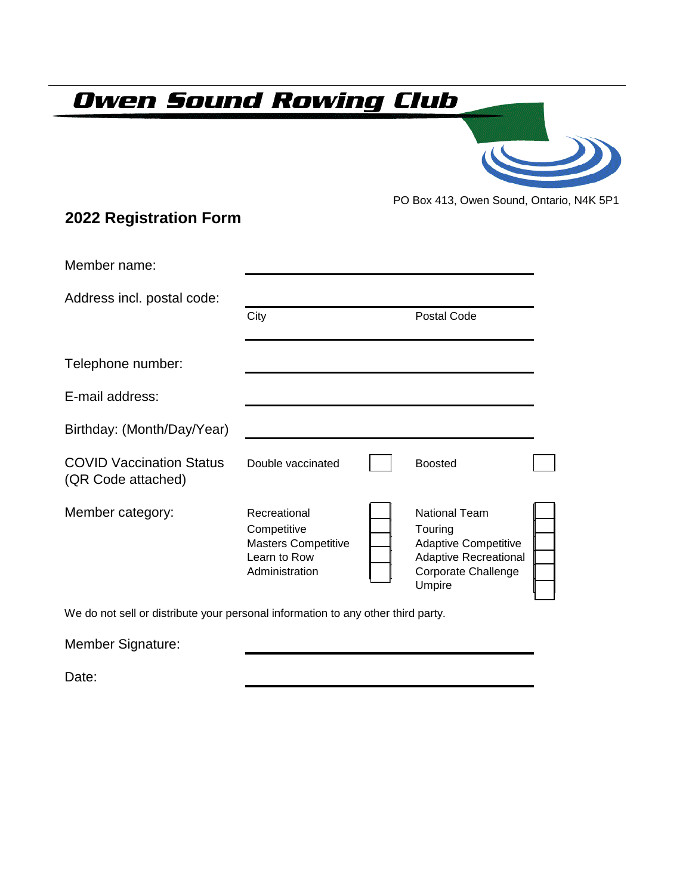## **Owen Sound Rowing Club**

PO Box 413, Owen Sound, Ontario, N4K 5P1

## **2022 Registration Form**

| Member name:                                          |                                                                                             |                                                                                                                                 |  |
|-------------------------------------------------------|---------------------------------------------------------------------------------------------|---------------------------------------------------------------------------------------------------------------------------------|--|
| Address incl. postal code:                            |                                                                                             |                                                                                                                                 |  |
|                                                       | City                                                                                        | Postal Code                                                                                                                     |  |
| Telephone number:                                     |                                                                                             |                                                                                                                                 |  |
| E-mail address:                                       |                                                                                             |                                                                                                                                 |  |
| Birthday: (Month/Day/Year)                            |                                                                                             |                                                                                                                                 |  |
| <b>COVID Vaccination Status</b><br>(QR Code attached) | Double vaccinated                                                                           | <b>Boosted</b>                                                                                                                  |  |
| Member category:                                      | Recreational<br>Competitive<br><b>Masters Competitive</b><br>Learn to Row<br>Administration | <b>National Team</b><br>Touring<br><b>Adaptive Competitive</b><br><b>Adaptive Recreational</b><br>Corporate Challenge<br>Umpire |  |

We do not sell or distribute your personal information to any other third party.

| Member Signature: |  |  |
|-------------------|--|--|
|                   |  |  |

Date: